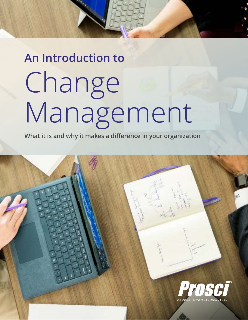# **An Introduction to** Change Management

**What it is and why it makes a difference in your organization**

info@tpsoc.eu | www.tpsoc.eu | www.tpsoc.eu | www.tpsoc.eu | www.tpsoc.eu | www.tpsoc.eu | www.tpsoc.eu | www.tpsoc.eu | www.tpsoc.eu | www.tpsoc.eu | www.tpsoc.eu | www.tpsoc.eu | www.tpsoc.eu | www.tpsoc.eu | www.tpsoc.e

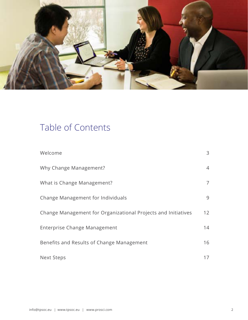

# Table of Contents

| Welcome                                                       | 3               |
|---------------------------------------------------------------|-----------------|
| Why Change Management?                                        | $\overline{4}$  |
| What is Change Management?                                    | $\overline{7}$  |
| Change Management for Individuals                             | 9               |
| Change Management for Organizational Projects and Initiatives | 12 <sup>2</sup> |
| Enterprise Change Management                                  | 14              |
| Benefits and Results of Change Management                     | 16              |
| <b>Next Steps</b>                                             | 17              |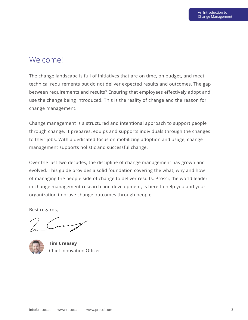## Welcome!

The change landscape is full of initiatives that are on time, on budget, and meet technical requirements but do not deliver expected results and outcomes. The gap between requirements and results? Ensuring that employees effectively adopt and use the change being introduced. This is the reality of change and the reason for change management.

Change management is a structured and intentional approach to support people through change. It prepares, equips and supports individuals through the changes to their jobs. With a dedicated focus on mobilizing adoption and usage, change management supports holistic and successful change.

Over the last two decades, the discipline of change management has grown and evolved. This guide provides a solid foundation covering the what, why and how of managing the people side of change to deliver results. Prosci, the world leader in change management research and development, is here to help you and your organization improve change outcomes through people.

Best regards,

**Tim Creasey** Chief Innovation Officer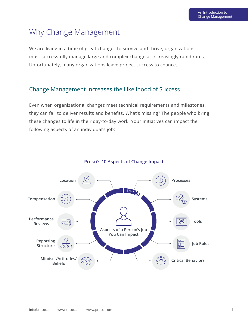## Why Change Management

We are living in a time of great change. To survive and thrive, organizations must successfully manage large and complex change at increasingly rapid rates. Unfortunately, many organizations leave project success to chance.

#### Change Management Increases the Likelihood of Success

Even when organizational changes meet technical requirements and milestones, they can fail to deliver results and benefits. What's missing? The people who bring these changes to life in their day-to-day work. Your initiatives can impact the following aspects of an individual's job:



#### **Prosci's 10 Aspects of Change Impact**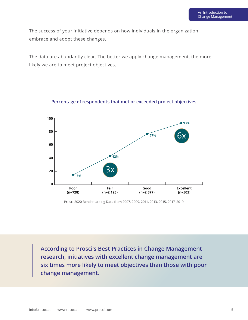The success of your initiative depends on how individuals in the organization embrace and adopt these changes.

The data are abundantly clear. The better we apply change management, the more likely we are to meet project objectives.



**Percentage of respondents that met or exceeded project objectives**

Prosci 2020 Benchmarking Data from 2007, 2009, 2011, 2013, 2015, 2017, 2019

**According to Prosci's Best Practices in Change Management research, initiatives with excellent change management are six times more likely to meet objectives than those with poor change management.**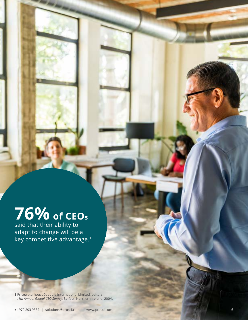## $\sqrt{970}$  of CEOs **76% of CEOs**

said that their ability to adapt to change will be a key competitive advantage.<sup>1</sup>

1 PricewaterhouseCoopers International Limited, editors. *11th Annual Global CEO Survey*. Belfast, Northern Ireland. 2004.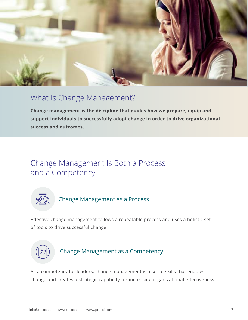

## What Is Change Management?

**Change management is the discipline that guides how we prepare, equip and support individuals to successfully adopt change in order to drive organizational success and outcomes.**

## Change Management Is Both a Process and a Competency



## Change Management as a Process

Effective change management follows a repeatable process and uses a holistic set of tools to drive successful change.



#### Change Management as a Competency

As a competency for leaders, change management is a set of skills that enables change and creates a strategic capability for increasing organizational effectiveness.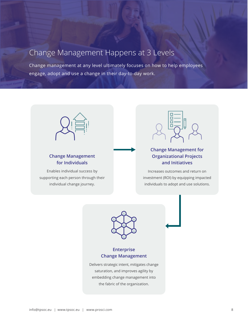## Change Management Happens at 3 Levels

Change management at any level ultimately focuses on how to help employees engage, adopt and use a change in their day-to-day work.

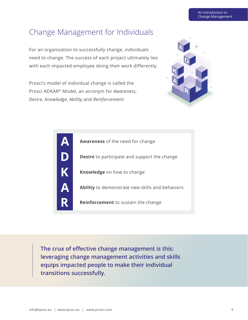## Change Management for Individuals

For an organization to successfully change, individuals need to change. The success of each project ultimately lies with each impacted employee doing their work differently.

Prosci's model of individual change is called the Prosci ADKAR® Model, an acronym for *Awareness*, *Desire*, *Knowledge*, *Ability* and *Reinforcement*:



|           | <b>Awareness</b> of the need for change                |
|-----------|--------------------------------------------------------|
|           | <b>Desire</b> to participate and support the change    |
| K         | <b>Knowledge</b> on how to change                      |
| <u>VA</u> | <b>Ability</b> to demonstrate new skills and behaviors |
|           | <b>Reinforcement</b> to sustain the change             |

**The crux of effective change management is this: leveraging change management activities and skills equips impacted people to make their individual transitions successfully.**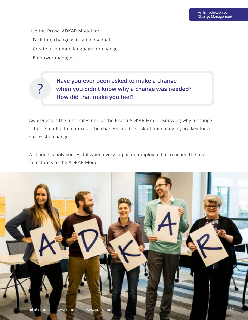Use the Prosci ADKAR Model to:

- Facilitate change with an individual
- Create a common language for change
- Empower managers

?

### **Have you ever been asked to make a change when you didn't know why a change was needed? How did that make you feel?**

Awareness is the first milestone of the Prosci ADKAR Model. Knowing why a change is being made, the nature of the change, and the risk of not changing are key for a successful change.

A change is only successful when every impacted employee has reached the five milestones of the ADKAR Model.

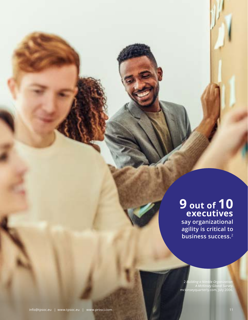# **9 out of 10 executives**

Prosci has certified over **say organizational agility is critical to business success.**<sup>2</sup>

> 2 *Building a Nimble Organization: A McKinsey Global Survey*. mckinseyquarterly.com, July 2006.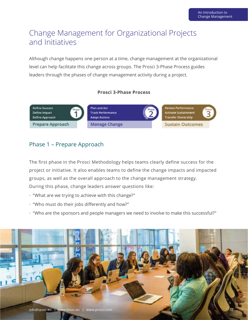## Change Management for Organizational Projects and Initiatives

Although change happens one person at a time, change management at the organizational level can help facilitate this change across groups. The Prosci 3-Phase Process guides leaders through the phases of change management activity during a project.

#### **Prosci 3-Phase Process**



#### Phase 1 – Prepare Approach

The first phase in the Prosci Methodology helps teams clearly define success for the project or initiative. It also enables teams to define the change impacts and impacted groups, as well as the overall approach to the change management strategy. During this phase, change leaders answer questions like:

- "What are we trying to achieve with this change?"
- "Who must do their jobs differently and how?"
- "Who are the sponsors and people managers we need to involve to make this successful?"

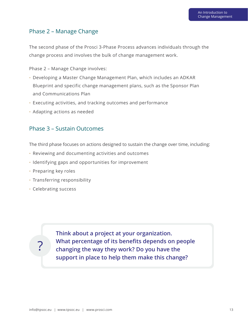#### Phase 2 – Manage Change

The second phase of the Prosci 3-Phase Process advances individuals through the change process and involves the bulk of change management work.

Phase 2 – Manage Change involves:

- Developing a Master Change Management Plan, which includes an ADKAR Blueprint and specific change management plans, such as the Sponsor Plan and Communications Plan
- Executing activities, and tracking outcomes and performance
- Adapting actions as needed

#### Phase 3 – Sustain Outcomes

The third phase focuses on actions designed to sustain the change over time, including:

- Reviewing and documenting activities and outcomes
- Identifying gaps and opportunities for improvement
- Preparing key roles
- Transferring responsibility
- Celebrating success

?

**Think about a project at your organization. What percentage of its benefits depends on people changing the way they work? Do you have the support in place to help them make this change?**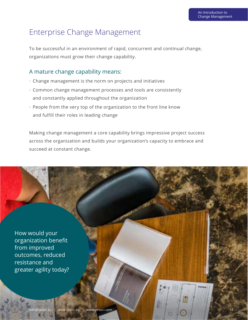## Enterprise Change Management

To be successful in an environment of rapid, concurrent and continual change, organizations must grow their change capability.

#### A mature change capability means:

- Change management is the norm on projects and initiatives
- Common change management processes and tools are consistently and constantly applied throughout the organization
- People from the very top of the organization to the front line know and fulfill their roles in leading change

Making change management a core capability brings impressive project success across the organization and builds your organization's capacity to embrace and succeed at constant change.

How would your organization benefit from improved outcomes, reduced resistance and greater agility today?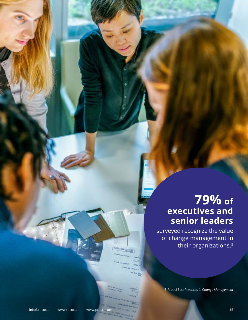# **79% of executives and senior leaders**

surveyed recognize the value of change management in their organizations.3

3 Prosci *[Best Practices in Change Management](https://www.prosci.com/resources/articles/change-management-best-practices)*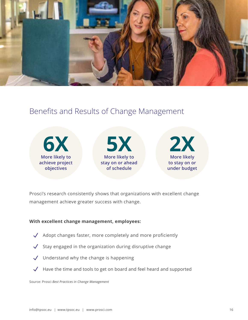

## Benefits and Results of Change Management



Prosci's research consistently shows that organizations with excellent change management achieve greater success with change.

#### **With excellent change management, employees:**

- $\sqrt{\phantom{a}}$  Adopt changes faster, more completely and more proficiently
- Stay engaged in the organization during disruptive change  $\sqrt{ }$
- $\sqrt{\phantom{a}}$  Understand why the change is happening
- $\sqrt{\phantom{a}}$  Have the time and tools to get on board and feel heard and supported

Source: Prosci *[Best Practices in Change Management](https://www.prosci.com/resources/articles/change-management-best-practices)*